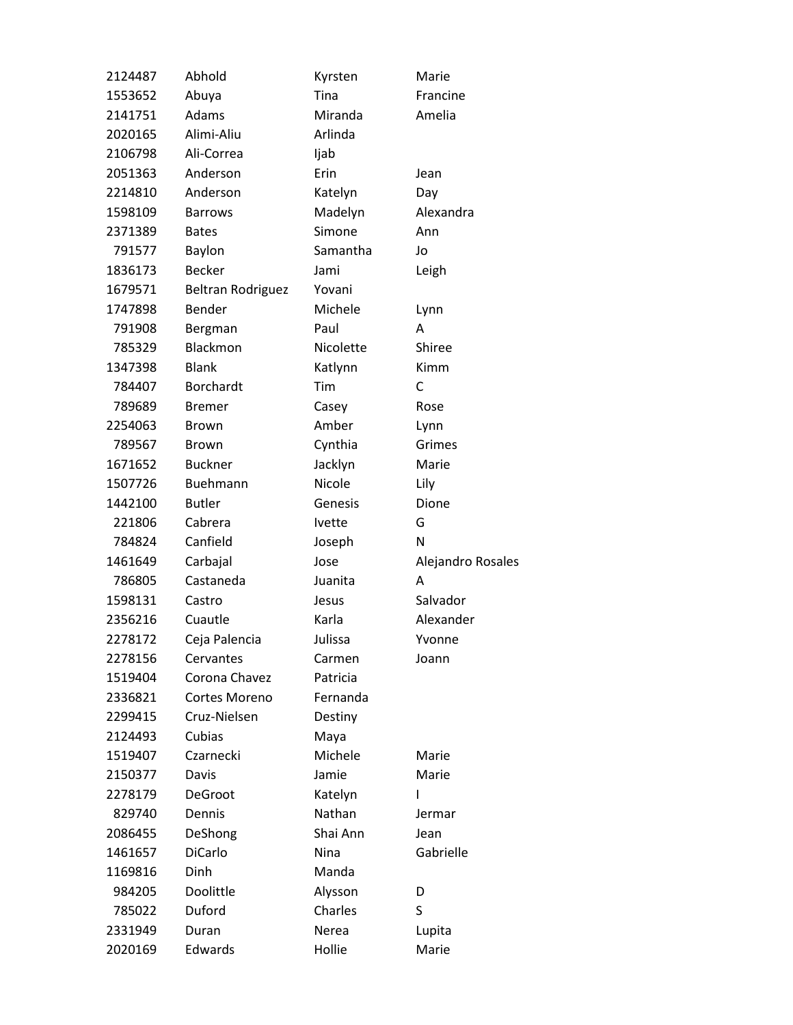| 2124487 | Abhold                   | Kyrsten       | Marie             |
|---------|--------------------------|---------------|-------------------|
| 1553652 | Abuya                    | Tina          | Francine          |
| 2141751 | Adams                    | Miranda       | Amelia            |
| 2020165 | Alimi-Aliu               | Arlinda       |                   |
| 2106798 | Ali-Correa               | Ijab          |                   |
| 2051363 | Anderson                 | Erin          | Jean              |
| 2214810 | Anderson                 | Katelyn       | Day               |
| 1598109 | <b>Barrows</b>           | Madelyn       | Alexandra         |
| 2371389 | <b>Bates</b>             | Simone        | Ann               |
| 791577  | Baylon                   | Samantha      | Jo                |
| 1836173 | <b>Becker</b>            | Jami          | Leigh             |
| 1679571 | <b>Beltran Rodriguez</b> | Yovani        |                   |
| 1747898 | Bender                   | Michele       | Lynn              |
| 791908  | Bergman                  | Paul          | A                 |
| 785329  | Blackmon                 | Nicolette     | Shiree            |
| 1347398 | <b>Blank</b>             | Katlynn       | Kimm              |
| 784407  | <b>Borchardt</b>         | Tim           | C                 |
| 789689  | <b>Bremer</b>            | Casey         | Rose              |
| 2254063 | <b>Brown</b>             | Amber         | Lynn              |
| 789567  | <b>Brown</b>             | Cynthia       | Grimes            |
| 1671652 | <b>Buckner</b>           | Jacklyn       | Marie             |
| 1507726 | Buehmann                 | Nicole        | Lily              |
| 1442100 | <b>Butler</b>            | Genesis       | Dione             |
| 221806  | Cabrera                  | <b>Ivette</b> | G                 |
| 784824  | Canfield                 | Joseph        | N                 |
| 1461649 | Carbajal                 | Jose          | Alejandro Rosales |
| 786805  | Castaneda                | Juanita       | A                 |
| 1598131 | Castro                   | Jesus         | Salvador          |
| 2356216 | Cuautle                  | Karla         | Alexander         |
| 2278172 | Ceja Palencia            | Julissa       | Yvonne            |
| 2278156 | Cervantes                | Carmen        | Joann             |
| 1519404 | Corona Chavez            | Patricia      |                   |
| 2336821 | Cortes Moreno            | Fernanda      |                   |
| 2299415 | Cruz-Nielsen             | Destiny       |                   |
| 2124493 | Cubias                   | Maya          |                   |
| 1519407 | Czarnecki                | Michele       | Marie             |
| 2150377 | Davis                    | Jamie         | Marie             |
| 2278179 | DeGroot                  | Katelyn       | I                 |
| 829740  | Dennis                   | Nathan        | Jermar            |
| 2086455 | DeShong                  | Shai Ann      | Jean              |
| 1461657 | DiCarlo                  | Nina          | Gabrielle         |
| 1169816 | Dinh                     | Manda         |                   |
| 984205  | Doolittle                | Alysson       | D                 |
| 785022  | Duford                   | Charles       | S                 |
| 2331949 | Duran                    | Nerea         | Lupita            |
| 2020169 | Edwards                  | Hollie        | Marie             |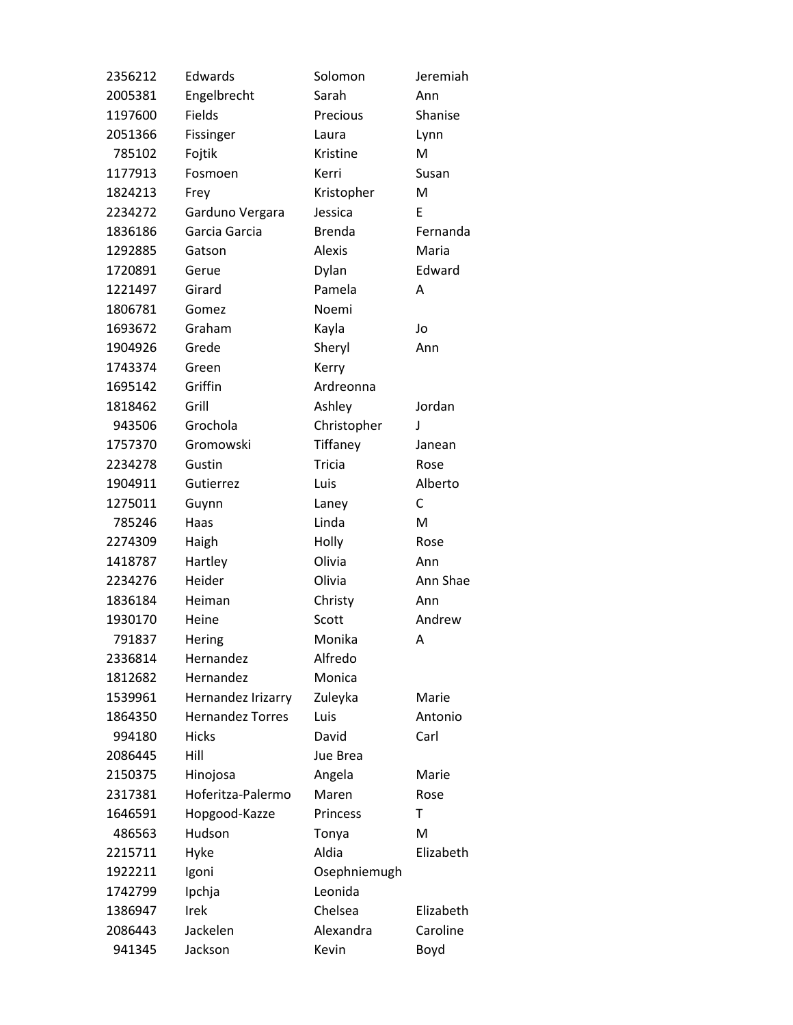| 2356212 | Edwards                 | Solomon       | Jeremiah  |
|---------|-------------------------|---------------|-----------|
| 2005381 | Engelbrecht             | Sarah         | Ann       |
| 1197600 | Fields                  | Precious      | Shanise   |
| 2051366 | Fissinger               | Laura         | Lynn      |
| 785102  | Fojtik                  | Kristine      | M         |
| 1177913 | Fosmoen                 | Kerri         | Susan     |
| 1824213 | Frey                    | Kristopher    | M         |
| 2234272 | Garduno Vergara         | Jessica       | E         |
| 1836186 | Garcia Garcia           | <b>Brenda</b> | Fernanda  |
| 1292885 | Gatson                  | <b>Alexis</b> | Maria     |
| 1720891 | Gerue                   | Dylan         | Edward    |
| 1221497 | Girard                  | Pamela        | A         |
| 1806781 | Gomez                   | Noemi         |           |
| 1693672 | Graham                  | Kayla         | Jo        |
| 1904926 | Grede                   | Sheryl        | Ann       |
| 1743374 | Green                   | Kerry         |           |
| 1695142 | Griffin                 | Ardreonna     |           |
| 1818462 | Grill                   | Ashley        | Jordan    |
| 943506  | Grochola                | Christopher   | J         |
| 1757370 | Gromowski               | Tiffaney      | Janean    |
| 2234278 | Gustin                  | <b>Tricia</b> | Rose      |
| 1904911 | Gutierrez               | Luis          | Alberto   |
| 1275011 | Guynn                   | Laney         | C         |
| 785246  | Haas                    | Linda         | M         |
| 2274309 | Haigh                   | Holly         | Rose      |
| 1418787 | Hartley                 | Olivia        | Ann       |
| 2234276 | Heider                  | Olivia        | Ann Shae  |
| 1836184 | Heiman                  | Christy       | Ann       |
| 1930170 | Heine                   | Scott         | Andrew    |
| 791837  | Hering                  | Monika        | Α         |
| 2336814 | Hernandez               | Alfredo       |           |
| 1812682 | Hernandez               | Monica        |           |
| 1539961 | Hernandez Irizarry      | Zuleyka       | Marie     |
| 1864350 | <b>Hernandez Torres</b> | Luis          | Antonio   |
| 994180  | <b>Hicks</b>            | David         | Carl      |
| 2086445 | Hill                    | Jue Brea      |           |
| 2150375 | Hinojosa                | Angela        | Marie     |
| 2317381 | Hoferitza-Palermo       | Maren         | Rose      |
| 1646591 | Hopgood-Kazze           | Princess      | Τ         |
| 486563  | Hudson                  | Tonya         | M         |
| 2215711 | Hyke                    | Aldia         | Elizabeth |
| 1922211 | Igoni                   | Osephniemugh  |           |
| 1742799 | Ipchja                  | Leonida       |           |
| 1386947 | Irek                    | Chelsea       | Elizabeth |
| 2086443 | Jackelen                | Alexandra     | Caroline  |
| 941345  | Jackson                 | Kevin         | Boyd      |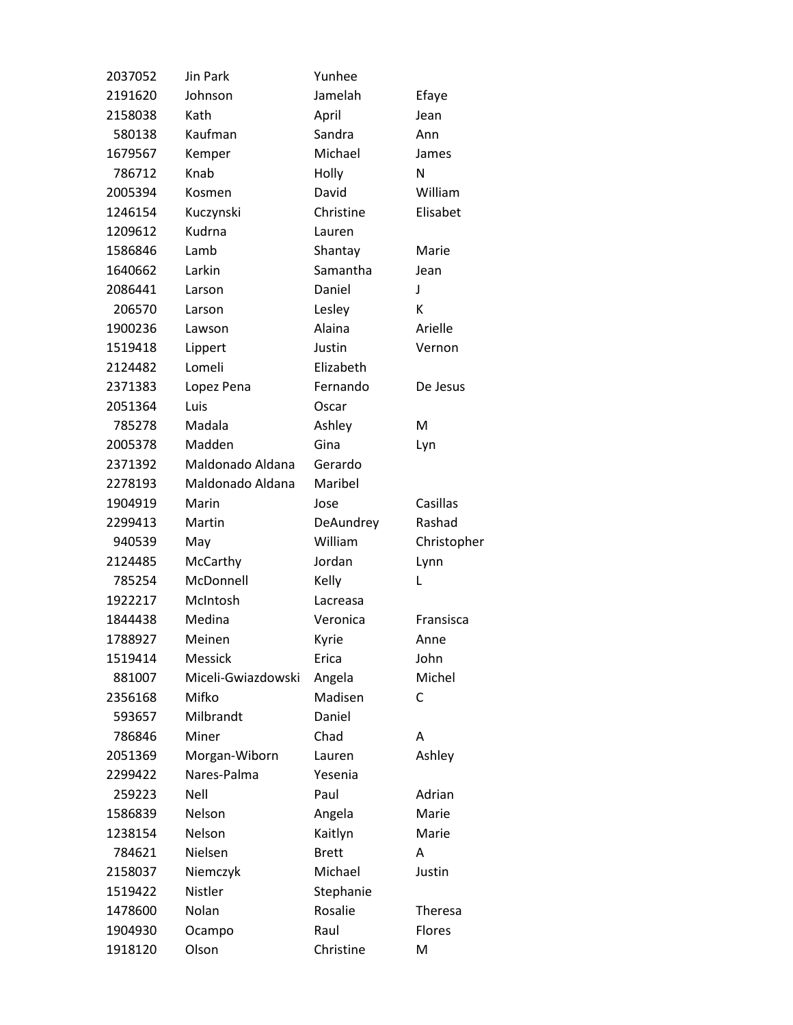| 2037052 | Jin Park           | Yunhee       |                |
|---------|--------------------|--------------|----------------|
| 2191620 | Johnson            | Jamelah      | Efaye          |
| 2158038 | Kath               | April        | Jean           |
| 580138  | Kaufman            | Sandra       | Ann            |
| 1679567 | Kemper             | Michael      | James          |
| 786712  | Knab               | Holly        | N              |
| 2005394 | Kosmen             | David        | William        |
| 1246154 | Kuczynski          | Christine    | Elisabet       |
| 1209612 | Kudrna             | Lauren       |                |
| 1586846 | Lamb               | Shantay      | Marie          |
| 1640662 | Larkin             | Samantha     | Jean           |
| 2086441 | Larson             | Daniel       | J              |
| 206570  | Larson             | Lesley       | К              |
| 1900236 | Lawson             | Alaina       | Arielle        |
| 1519418 | Lippert            | Justin       | Vernon         |
| 2124482 | Lomeli             | Elizabeth    |                |
| 2371383 | Lopez Pena         | Fernando     | De Jesus       |
| 2051364 | Luis               | Oscar        |                |
| 785278  | Madala             | Ashley       | M              |
| 2005378 | Madden             | Gina         | Lyn            |
| 2371392 | Maldonado Aldana   | Gerardo      |                |
| 2278193 | Maldonado Aldana   | Maribel      |                |
| 1904919 | Marin              | Jose         | Casillas       |
| 2299413 | Martin             | DeAundrey    | Rashad         |
| 940539  | May                | William      | Christopher    |
| 2124485 | McCarthy           | Jordan       | Lynn           |
| 785254  | McDonnell          | Kelly        | L              |
| 1922217 | McIntosh           | Lacreasa     |                |
| 1844438 | Medina             | Veronica     | Fransisca      |
| 1788927 | Meinen             | Kyrie        | Anne           |
| 1519414 | <b>Messick</b>     | Erica        | John           |
| 881007  | Miceli-Gwiazdowski | Angela       | Michel         |
| 2356168 | Mifko              | Madisen      | С              |
| 593657  | Milbrandt          | Daniel       |                |
| 786846  | Miner              | Chad         | А              |
| 2051369 | Morgan-Wiborn      | Lauren       | Ashley         |
| 2299422 | Nares-Palma        | Yesenia      |                |
| 259223  | Nell               | Paul         | Adrian         |
| 1586839 | Nelson             | Angela       | Marie          |
| 1238154 | Nelson             | Kaitlyn      | Marie          |
| 784621  | Nielsen            | <b>Brett</b> | А              |
| 2158037 | Niemczyk           | Michael      | Justin         |
| 1519422 | Nistler            | Stephanie    |                |
| 1478600 | Nolan              | Rosalie      | <b>Theresa</b> |
| 1904930 | Ocampo             | Raul         | Flores         |
| 1918120 | Olson              | Christine    | M              |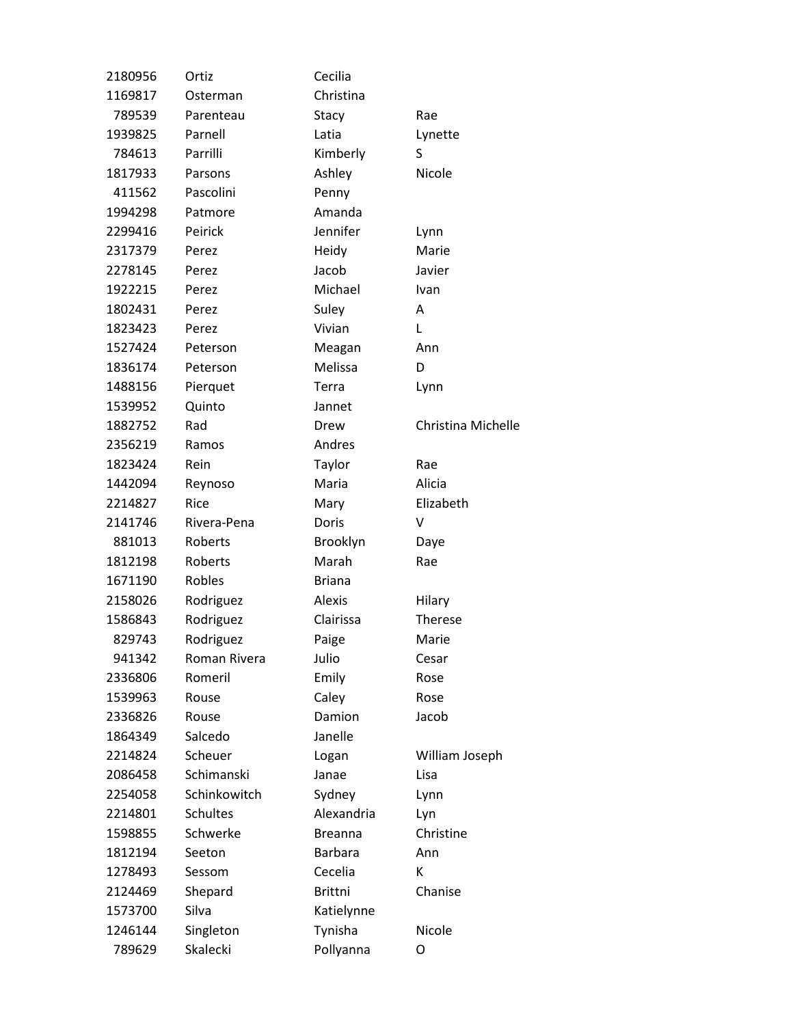| 2180956 | Ortiz           | Cecilia        |                    |
|---------|-----------------|----------------|--------------------|
| 1169817 | Osterman        | Christina      |                    |
| 789539  | Parenteau       | Stacy          | Rae                |
| 1939825 | Parnell         | Latia          | Lynette            |
| 784613  | Parrilli        | Kimberly       | S                  |
| 1817933 | Parsons         | Ashley         | Nicole             |
| 411562  | Pascolini       | Penny          |                    |
| 1994298 | Patmore         | Amanda         |                    |
| 2299416 | Peirick         | Jennifer       | Lynn               |
| 2317379 | Perez           | Heidy          | Marie              |
| 2278145 | Perez           | Jacob          | Javier             |
| 1922215 | Perez           | Michael        | Ivan               |
| 1802431 | Perez           | Suley          | A                  |
| 1823423 | Perez           | Vivian         | Г                  |
| 1527424 | Peterson        | Meagan         | Ann                |
| 1836174 | Peterson        | Melissa        | D                  |
| 1488156 | Pierquet        | Terra          | Lynn               |
| 1539952 | Quinto          | Jannet         |                    |
| 1882752 | Rad             | Drew           | Christina Michelle |
| 2356219 | Ramos           | Andres         |                    |
| 1823424 | Rein            | Taylor         | Rae                |
| 1442094 | Reynoso         | Maria          | Alicia             |
| 2214827 | Rice            | Mary           | Elizabeth          |
| 2141746 | Rivera-Pena     | Doris          | v                  |
| 881013  | Roberts         | Brooklyn       | Daye               |
| 1812198 | Roberts         | Marah          | Rae                |
| 1671190 | Robles          | <b>Briana</b>  |                    |
| 2158026 | Rodriguez       | Alexis         | Hilary             |
| 1586843 | Rodriguez       | Clairissa      | Therese            |
| 829743  | Rodriguez       | Paige          | Marie              |
| 941342  | Roman Rivera    | Julio          | Cesar              |
| 2336806 | Romeril         | Emily          | Rose               |
| 1539963 | Rouse           | Caley          | Rose               |
| 2336826 | Rouse           | Damion         | Jacob              |
| 1864349 | Salcedo         | Janelle        |                    |
| 2214824 | Scheuer         | Logan          | William Joseph     |
| 2086458 | Schimanski      | Janae          | Lisa               |
| 2254058 | Schinkowitch    | Sydney         | Lynn               |
| 2214801 | <b>Schultes</b> | Alexandria     | Lyn                |
| 1598855 | Schwerke        | <b>Breanna</b> | Christine          |
| 1812194 | Seeton          | <b>Barbara</b> | Ann                |
| 1278493 | Sessom          | Cecelia        | К                  |
| 2124469 | Shepard         | <b>Brittni</b> | Chanise            |
| 1573700 | Silva           | Katielynne     |                    |
| 1246144 | Singleton       | Tynisha        | Nicole             |
| 789629  | Skalecki        | Pollyanna      | O                  |